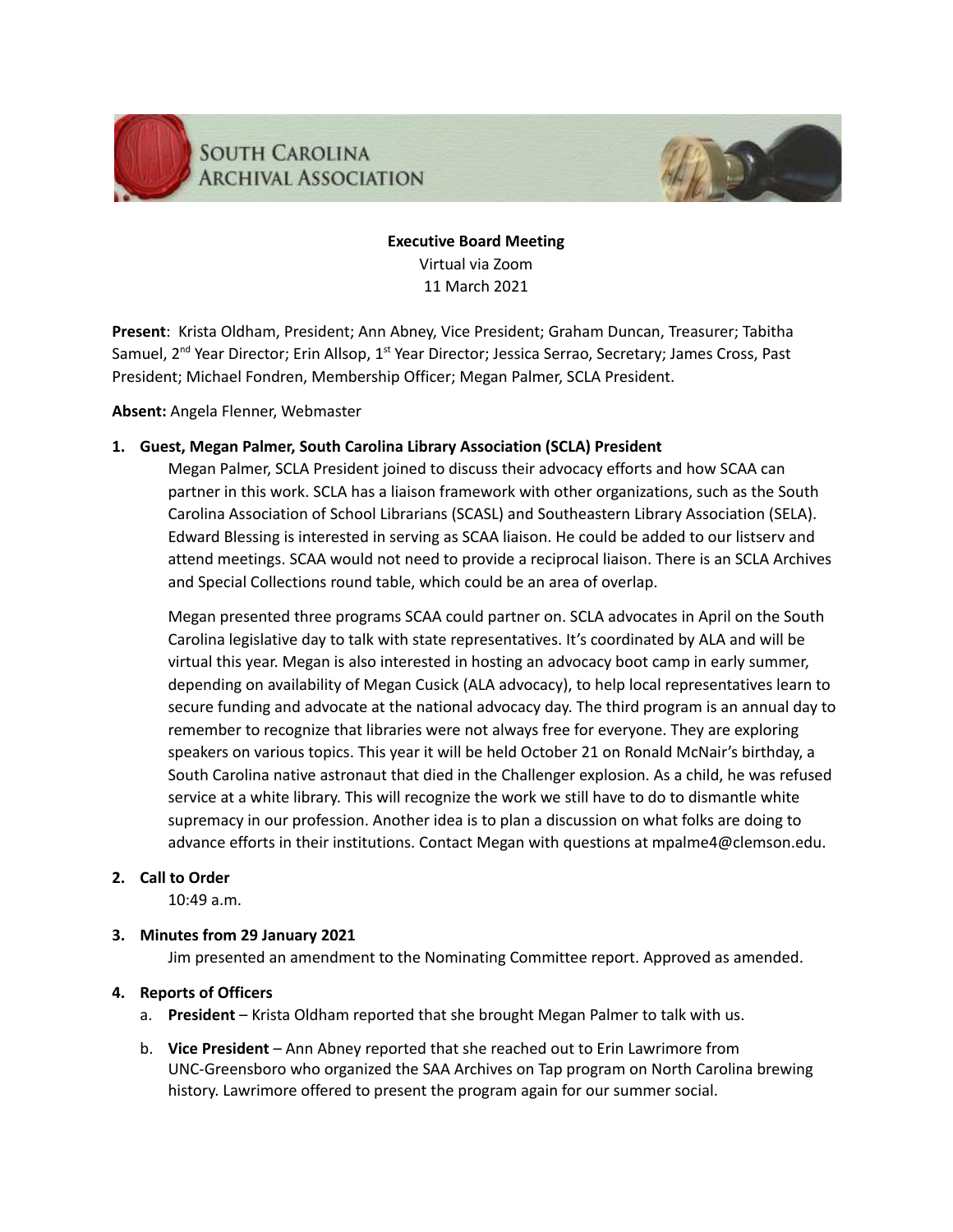

**Executive Board Meeting** Virtual via Zoom 11 March 2021

**Present**: Krista Oldham, President; Ann Abney, Vice President; Graham Duncan, Treasurer; Tabitha Samuel, 2<sup>nd</sup> Year Director; Erin Allsop, 1<sup>st</sup> Year Director; Jessica Serrao, Secretary; James Cross, Past President; Michael Fondren, Membership Officer; Megan Palmer, SCLA President.

**Absent:** Angela Flenner, Webmaster

# **1. Guest, Megan Palmer, South Carolina Library Association (SCLA) President**

Megan Palmer, SCLA President joined to discuss their advocacy efforts and how SCAA can partner in this work. SCLA has a liaison framework with other organizations, such as the South Carolina Association of School Librarians (SCASL) and Southeastern Library Association (SELA). Edward Blessing is interested in serving as SCAA liaison. He could be added to our listserv and attend meetings. SCAA would not need to provide a reciprocal liaison. There is an SCLA Archives and Special Collections round table, which could be an area of overlap.

Megan presented three programs SCAA could partner on. SCLA advocates in April on the South Carolina legislative day to talk with state representatives. It's coordinated by ALA and will be virtual this year. Megan is also interested in hosting an advocacy boot camp in early summer, depending on availability of Megan Cusick (ALA advocacy), to help local representatives learn to secure funding and advocate at the national advocacy day. The third program is an annual day to remember to recognize that libraries were not always free for everyone. They are exploring speakers on various topics. This year it will be held October 21 on Ronald McNair's birthday, a South Carolina native astronaut that died in the Challenger explosion. As a child, he was refused service at a white library. This will recognize the work we still have to do to dismantle white supremacy in our profession. Another idea is to plan a discussion on what folks are doing to advance efforts in their institutions. Contact Megan with questions at mpalme4@clemson.edu.

## **2. Call to Order**

10:49 a.m.

# **3. Minutes from 29 January 2021**

Jim presented an amendment to the Nominating Committee report. Approved as amended.

# **4. Reports of Officers**

- a. **President** Krista Oldham reported that she brought Megan Palmer to talk with us.
- b. **Vice President** Ann Abney reported that she reached out to Erin Lawrimore from UNC-Greensboro who organized the SAA Archives on Tap program on North Carolina brewing history. Lawrimore offered to present the program again for our summer social.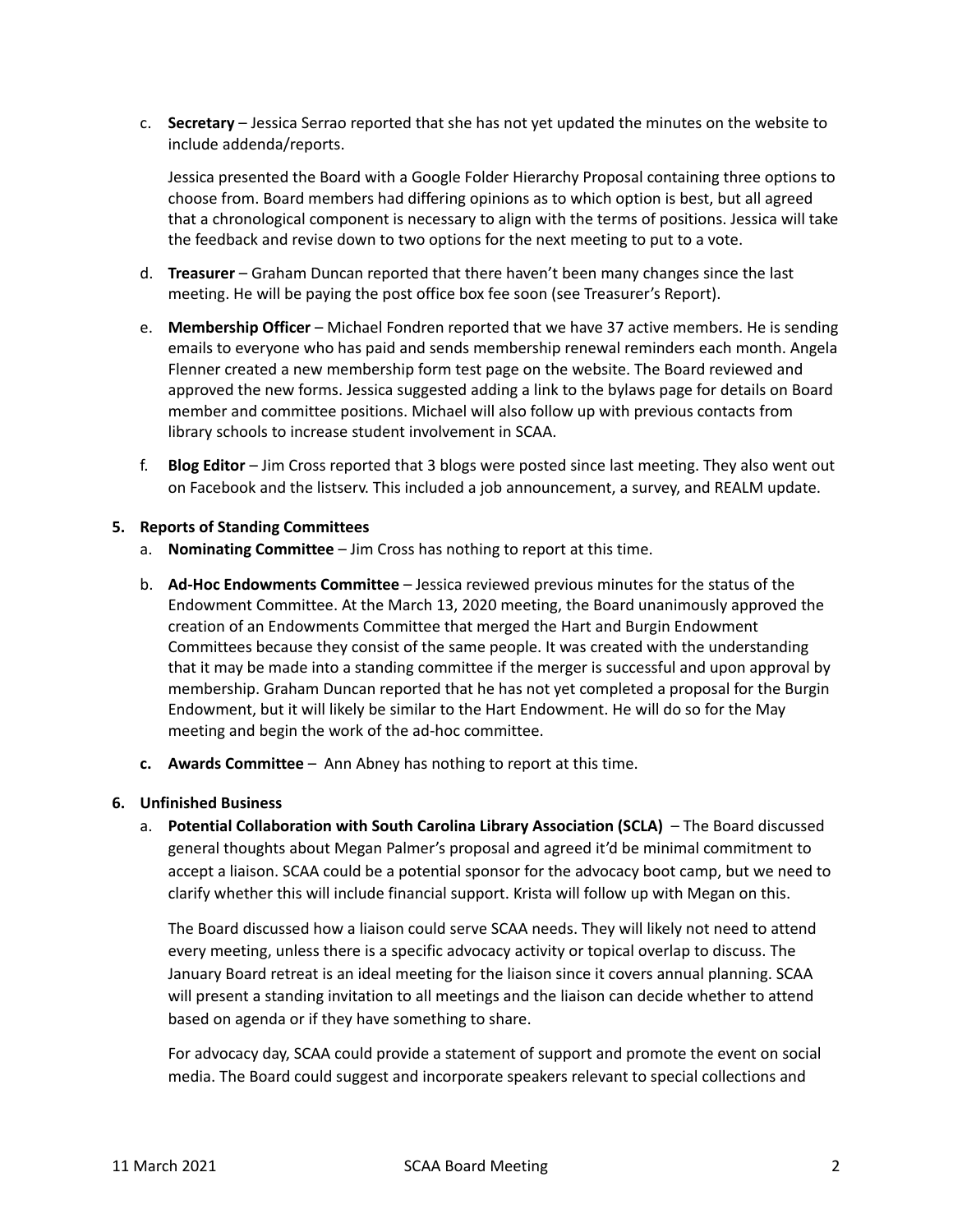c. **Secretary** – Jessica Serrao reported that she has not yet updated the minutes on the website to include addenda/reports.

Jessica presented the Board with a Google Folder Hierarchy Proposal containing three options to choose from. Board members had differing opinions as to which option is best, but all agreed that a chronological component is necessary to align with the terms of positions. Jessica will take the feedback and revise down to two options for the next meeting to put to a vote.

- d. **Treasurer** Graham Duncan reported that there haven't been many changes since the last meeting. He will be paying the post office box fee soon (see Treasurer's Report).
- e. **Membership Officer** Michael Fondren reported that we have 37 active members. He is sending emails to everyone who has paid and sends membership renewal reminders each month. Angela Flenner created a new membership form test page on the website. The Board reviewed and approved the new forms. Jessica suggested adding a link to the bylaws page for details on Board member and committee positions. Michael will also follow up with previous contacts from library schools to increase student involvement in SCAA.
- f. **Blog Editor** Jim Cross reported that 3 blogs were posted since last meeting. They also went out on Facebook and the listserv. This included a job announcement, a survey, and REALM update.

## **5. Reports of Standing Committees**

- a. **Nominating Committee** Jim Cross has nothing to report at this time.
- b. **Ad-Hoc Endowments Committee** Jessica reviewed previous minutes for the status of the Endowment Committee. At the March 13, 2020 meeting, the Board unanimously approved the creation of an Endowments Committee that merged the Hart and Burgin Endowment Committees because they consist of the same people. It was created with the understanding that it may be made into a standing committee if the merger is successful and upon approval by membership. Graham Duncan reported that he has not yet completed a proposal for the Burgin Endowment, but it will likely be similar to the Hart Endowment. He will do so for the May meeting and begin the work of the ad-hoc committee.
- **c. Awards Committee** Ann Abney has nothing to report at this time.

## **6. Unfinished Business**

a. **Potential Collaboration with South Carolina Library Association (SCLA)** – The Board discussed general thoughts about Megan Palmer's proposal and agreed it'd be minimal commitment to accept a liaison. SCAA could be a potential sponsor for the advocacy boot camp, but we need to clarify whether this will include financial support. Krista will follow up with Megan on this.

The Board discussed how a liaison could serve SCAA needs. They will likely not need to attend every meeting, unless there is a specific advocacy activity or topical overlap to discuss. The January Board retreat is an ideal meeting for the liaison since it covers annual planning. SCAA will present a standing invitation to all meetings and the liaison can decide whether to attend based on agenda or if they have something to share.

For advocacy day, SCAA could provide a statement of support and promote the event on social media. The Board could suggest and incorporate speakers relevant to special collections and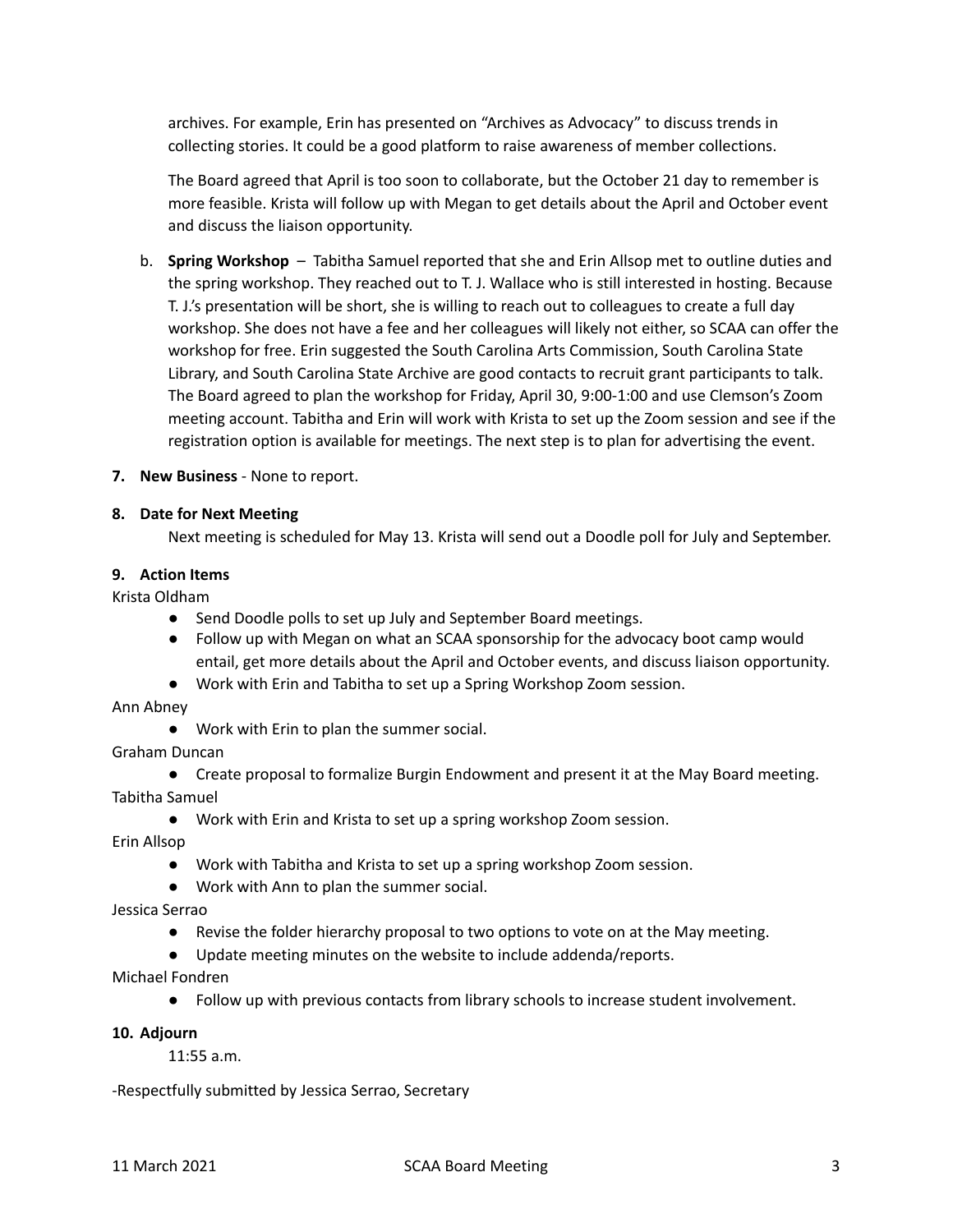archives. For example, Erin has presented on "Archives as Advocacy" to discuss trends in collecting stories. It could be a good platform to raise awareness of member collections.

The Board agreed that April is too soon to collaborate, but the October 21 day to remember is more feasible. Krista will follow up with Megan to get details about the April and October event and discuss the liaison opportunity.

- b. **Spring Workshop** Tabitha Samuel reported that she and Erin Allsop met to outline duties and the spring workshop. They reached out to T. J. Wallace who is still interested in hosting. Because T. J.'s presentation will be short, she is willing to reach out to colleagues to create a full day workshop. She does not have a fee and her colleagues will likely not either, so SCAA can offer the workshop for free. Erin suggested the South Carolina Arts Commission, South Carolina State Library, and South Carolina State Archive are good contacts to recruit grant participants to talk. The Board agreed to plan the workshop for Friday, April 30, 9:00-1:00 and use Clemson's Zoom meeting account. Tabitha and Erin will work with Krista to set up the Zoom session and see if the registration option is available for meetings. The next step is to plan for advertising the event.
- **7. New Business** None to report.

#### **8. Date for Next Meeting**

Next meeting is scheduled for May 13. Krista will send out a Doodle poll for July and September.

#### **9. Action Items**

Krista Oldham

- Send Doodle polls to set up July and September Board meetings.
- Follow up with Megan on what an SCAA sponsorship for the advocacy boot camp would entail, get more details about the April and October events, and discuss liaison opportunity.
- Work with Erin and Tabitha to set up a Spring Workshop Zoom session.

Ann Abney

- Work with Erin to plan the summer social.
- Graham Duncan
- Create proposal to formalize Burgin Endowment and present it at the May Board meeting. Tabitha Samuel
	- Work with Erin and Krista to set up a spring workshop Zoom session.

Erin Allsop

- Work with Tabitha and Krista to set up a spring workshop Zoom session.
- Work with Ann to plan the summer social.

#### Jessica Serrao

- Revise the folder hierarchy proposal to two options to vote on at the May meeting.
- Update meeting minutes on the website to include addenda/reports.

Michael Fondren

● Follow up with previous contacts from library schools to increase student involvement.

#### **10. Adjourn**

11:55 a.m.

-Respectfully submitted by Jessica Serrao, Secretary